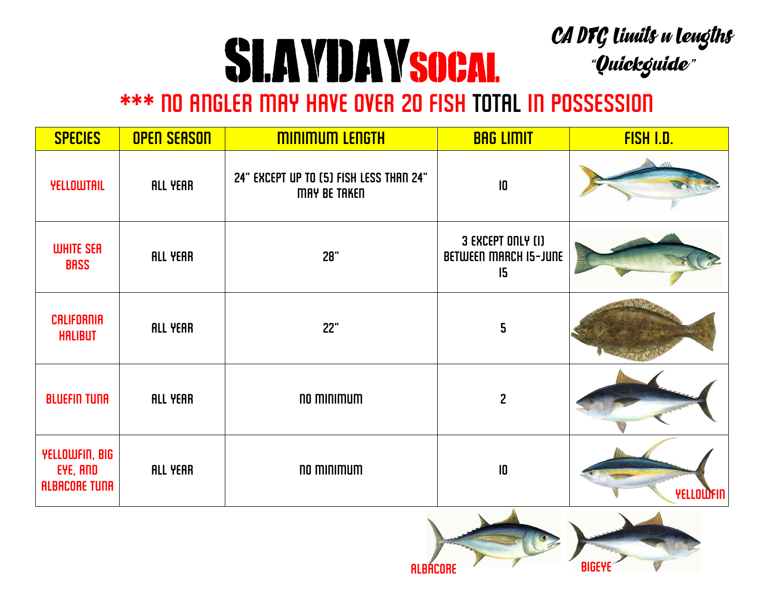## CA DFG limits u lengths<br>"Quickguide" SLAYDAYSOCAL

## \*\*\* No angler may have over 20 fish total in possession

| <b>SPECIES</b>                                     | <b>OPEN SEASON</b> | <b>MINIMUM LENGTH</b>                                          | <b>BAG LIMIT</b>                                        | <b>FISH I.D.</b> |
|----------------------------------------------------|--------------------|----------------------------------------------------------------|---------------------------------------------------------|------------------|
| <b>YELLOWTAIL</b>                                  | <b>ALL YEAR</b>    | 24" EXCEPT UP TO (5) FISH LESS THAN 24"<br><b>MAY BE TAKED</b> | $\overline{10}$                                         |                  |
| <b>WHITE SER</b><br><b>BASS</b>                    | <b>ALL YEAR</b>    | 28"                                                            | 3 EXCEPT ONLY (I)<br><b>BETWEEN MARCH IS-JUNE</b><br>15 |                  |
| <b>CALIFORNIA</b><br><b>HALIBUT</b>                | <b>ALL YEAR</b>    | <b>22"</b>                                                     | 5                                                       |                  |
| <b>BLUEFIN TUNA</b>                                | <b>ALL YEAR</b>    | no minimum                                                     | $\mathbf{2}$                                            |                  |
| YELLOWFIN, BIG<br>EYE, AND<br><b>ALBACORE TUNA</b> | <b>ALL YEAR</b>    | no minimum                                                     | $\mathbf I$                                             | YELLOWFIN        |

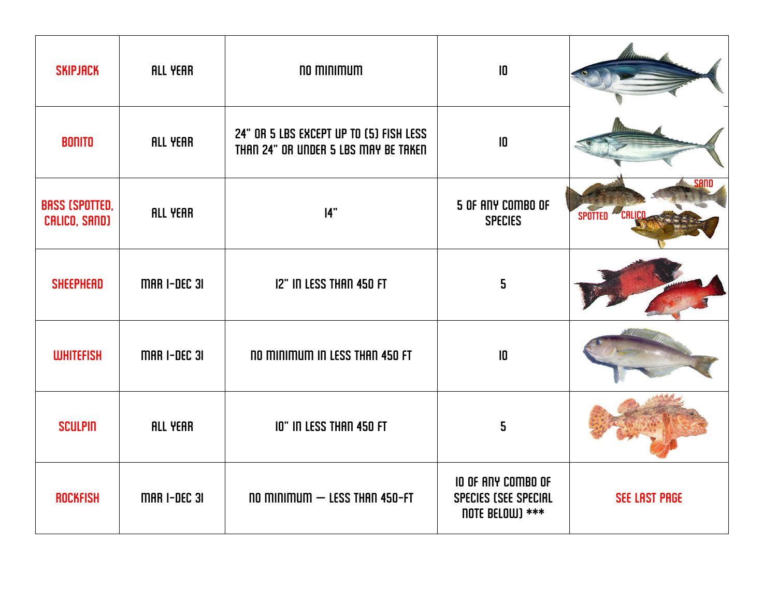| <b>SKIPJACK</b>                        | <b>ALL YEAR</b>     | no minimum                                                                      | $\overline{10}$                                               |                        |
|----------------------------------------|---------------------|---------------------------------------------------------------------------------|---------------------------------------------------------------|------------------------|
| <b>BONITO</b>                          | ALL YEAR            | 24" OR 5 LBS EXCEPT UP TO [5] FISH LESS<br>THAN 24" OR UNDER 5 LBS MAY BE TAKEN | $\overline{10}$                                               |                        |
| <b>BASS (SPOTTED,</b><br>CALICO, SAND) | <b>ALL YEAR</b>     | 14"                                                                             | 5 OF ANY COMBO OF<br><b>SPECIES</b>                           | SAND<br>SPOTTED CALICO |
| <b>SHEEPHEAD</b>                       | <b>MAR I-DEC 31</b> | <b>12" IN LESS THAN 450 FT</b>                                                  | 5                                                             |                        |
| <b>WHITEFISH</b>                       | <b>MAR I-DEC 31</b> | <b>NO MINIMUM IN LESS THAN 450 FT</b>                                           | $ 0\rangle$                                                   |                        |
| <b>SCULPIN</b>                         | <b>ALL YEAR</b>     | <b>10" IN LESS THAN 450 FT</b>                                                  | 5                                                             |                        |
| <b>ROCKFISH</b>                        | <b>MAR I-DEC 31</b> | $no$ minimum $-$ Less than 450-FT                                               | IO OF ANY COMBO OF<br>SPECIES (SEE SPECIAL<br>note BELOW) *** | <b>SEE LAST PAGE</b>   |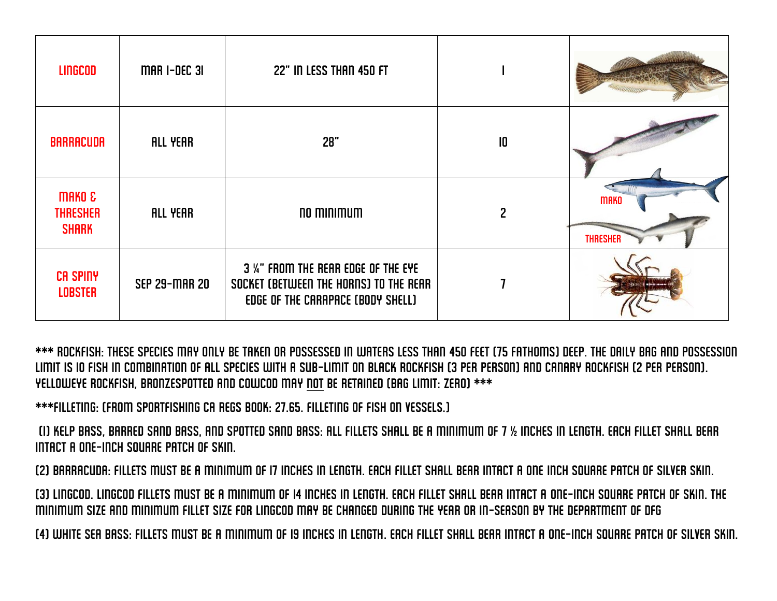| <b>LINGCOD</b>                                       | <b>MAR I-DEC 31</b>  | 22" IN LESS THAN 450 FT                                                                                           |                 |                                |
|------------------------------------------------------|----------------------|-------------------------------------------------------------------------------------------------------------------|-----------------|--------------------------------|
| <b>BARRACUDA</b>                                     | <b>ALL YEAR</b>      | 28"                                                                                                               | $\overline{10}$ |                                |
| <b>MAKO &amp;</b><br><b>THRESHER</b><br><b>SHARK</b> | <b>ALL YEAR</b>      | no minimum                                                                                                        |                 | <b>MAKO</b><br><b>THRESHER</b> |
| <b>CA SPINY</b><br><b>LOBSTER</b>                    | <b>SEP 29-MAR 20</b> | 3 %" FROM THE REAR EDGE OF THE EYE<br>SOCKET (BETWEEN THE HORNS) TO THE REAR<br>EDGE OF THE CARAPACE (BODY SHELL) |                 |                                |

\*\*\* Rockfish: These species may only be taken or possessed in waters less than 450 feet (75 fathoms) deep. The daily bag and possession limit is 10 fish in combination of all species with a sub-limit on black rockfish (3 per person) and canary rockfish (2 per person). Yelloweye rockfish, BRONZESPOTTED and Cowcod may not be retained (bag limit: zero) \*\*\*

\*\*\*filleting: (from sportfishing ca regs book: 27.65. FILLETING OF FISH ON VESSELS.)

(1) Kelp bass, barred sand bass, and spotted sand bass: All fillets shall be a minimum of 7 ½ inches in length. Each fillet shall bear intact a one-inch square patch of skin.

(2) Barracuda: Fillets must be a minimum of 17 inches in length. Each fillet shall bear intact a one inch square patch of silver skin.

(3) Lingcod. Lingcod fillets must be a minimum of 14 inches in length. Each fillet shall bear intact a one-inch square patch of skin. The minimum size and minimum fillet size for lingcod may be changed during the year or in-season by the department of dfg

(4) White sea bass: Fillets must be a minimum of 19 inches in length. Each fillet shall bear intact a one-inch square patch of silver skin.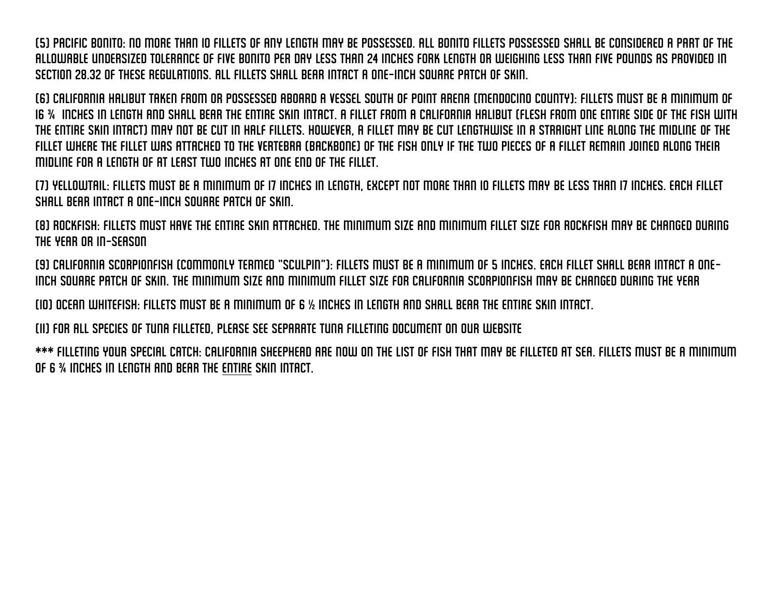(5) Pacific bonito: No more than 10 fillets of any length may be possessed. All bonito fillets possessed shall be considered a part of the allowable undersized tolerance of five bonito per day less than 24 inches fork length or weighing less than five pounds as provided in Section 28.32 of these regulations. All fillets shall bear intact a one-inch square patch of skin.

(6) California halibut taken from or possessed aboard a vessel south of Point Arena (Mendocino County): Fillets must be a minimum of 16 ¾ inches in length and shall bear the entire skin intact. A fillet from a California halibut (flesh from one entire side of the fish with the entire skin intact) may not be cut in half fillets. However, a fillet may be cut lengthwise in a straight line along the midline of the fillet where the fillet was attached to the vertebra (backbone) of the fish only if the two pieces of a fillet remain joined along their midline for a length of at least two inches at one end of the fillet.

(7) Yellowtail: Fillets must be a minimum of 17 inches in length, except not more than 10 fillets may be less than 17 inches. Each fillet shall bear intact a one-inch square patch of skin.

(8) Rockfish: Fillets must have the entire skin attached. The minimum size and minimum fillet size for rockfish may be changed during the year or in-season

(9) California scorpionfish (commonly termed "sculpin"): Fillets must be a minimum of 5 inches. Each fillet shall bear intact a oneinch square patch of skin. The minimum size and minimum fillet size for California scorpionfish may be changed during the year

(10) Ocean whitefish: Fillets must be a minimum of 6 ½ inches in length and shall bear the entire skin intact.

(11) For all species of tuna filleted, please see separate tuna filleting document on our website

\*\*\* filleting your special catch: California sheephead are now on the list of fish that may be filleted at sea. fillets must be a minimum of 6 ¾ inches in length and bear the entire skin intact.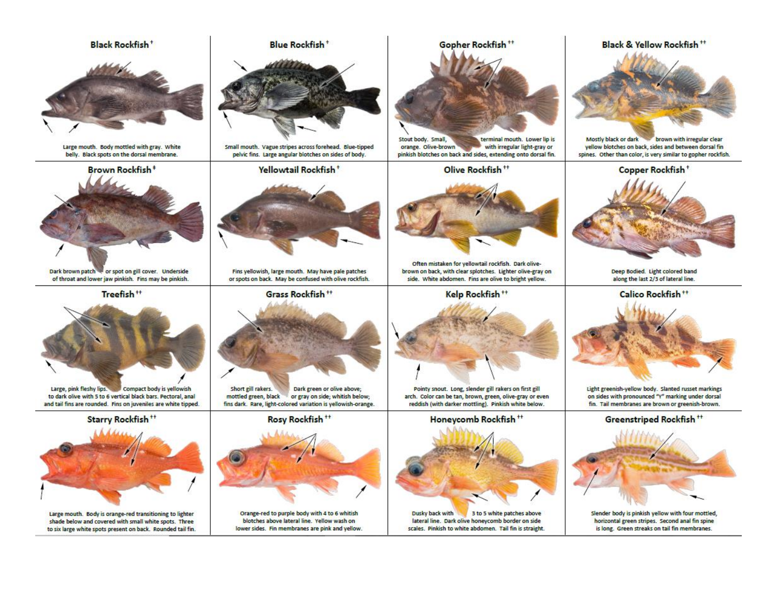